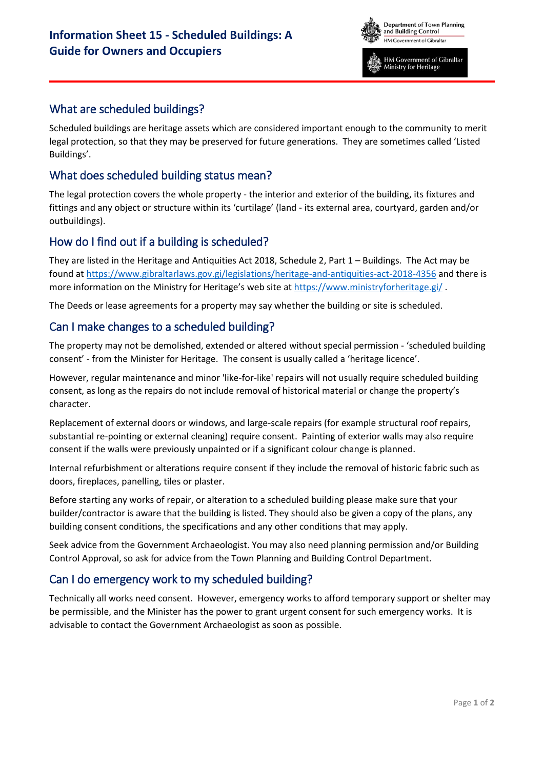

HM Government of Gibraltar Ministry for Heritage

## What are scheduled buildings?

Scheduled buildings are heritage assets which are considered important enough to the community to merit legal protection, so that they may be preserved for future generations. They are sometimes called 'Listed Buildings'.

## What does scheduled building status mean?

The legal protection covers the whole property - the interior and exterior of the building, its fixtures and fittings and any object or structure within its 'curtilage' (land - its external area, courtyard, garden and/or outbuildings).

## How do I find out if a building is scheduled?

They are listed in the Heritage and Antiquities Act 2018, Schedule 2, Part 1 – Buildings. The Act may be found at<https://www.gibraltarlaws.gov.gi/legislations/heritage-and-antiquities-act-2018-4356>and there is more information on the Ministry for Heritage's web site at https://www.ministryforheritage.gi/

The Deeds or lease agreements for a property may say whether the building or site is scheduled.

## Can I make changes to a scheduled building?

The property may not be demolished, extended or altered without special permission - 'scheduled building consent' - from the Minister for Heritage. The consent is usually called a 'heritage licence'.

However, regular maintenance and minor 'like-for-like' repairs will not usually require scheduled building consent, as long as the repairs do not include removal of historical material or change the property's character.

Replacement of external doors or windows, and large-scale repairs (for example structural roof repairs, substantial re-pointing or external cleaning) require consent. Painting of exterior walls may also require consent if the walls were previously unpainted or if a significant colour change is planned.

Internal refurbishment or alterations require consent if they include the removal of historic fabric such as doors, fireplaces, panelling, tiles or plaster.

Before starting any works of repair, or alteration to a scheduled building please make sure that your builder/contractor is aware that the building is listed. They should also be given a copy of the plans, any building consent conditions, the specifications and any other conditions that may apply.

Seek advice from the Government Archaeologist. You may also need planning permission and/or Building Control Approval, so ask for advice from the Town Planning and Building Control Department.

## Can I do emergency work to my scheduled building?

Technically all works need consent. However, emergency works to afford temporary support or shelter may be permissible, and the Minister has the power to grant urgent consent for such emergency works. It is advisable to contact the Government Archaeologist as soon as possible.